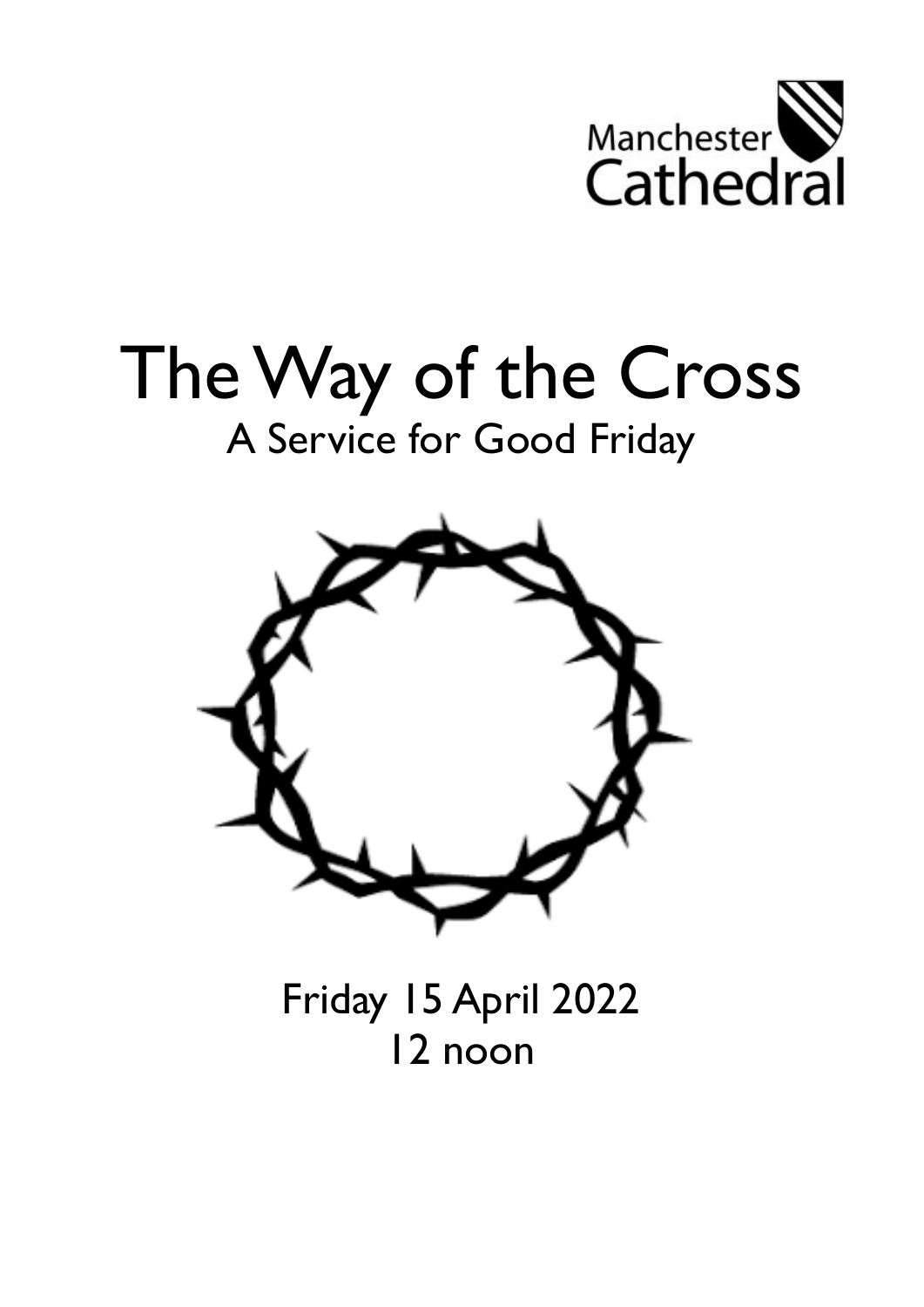

# The Way of the Cross A Service for Good Friday



Friday 15 April 2022 12 noon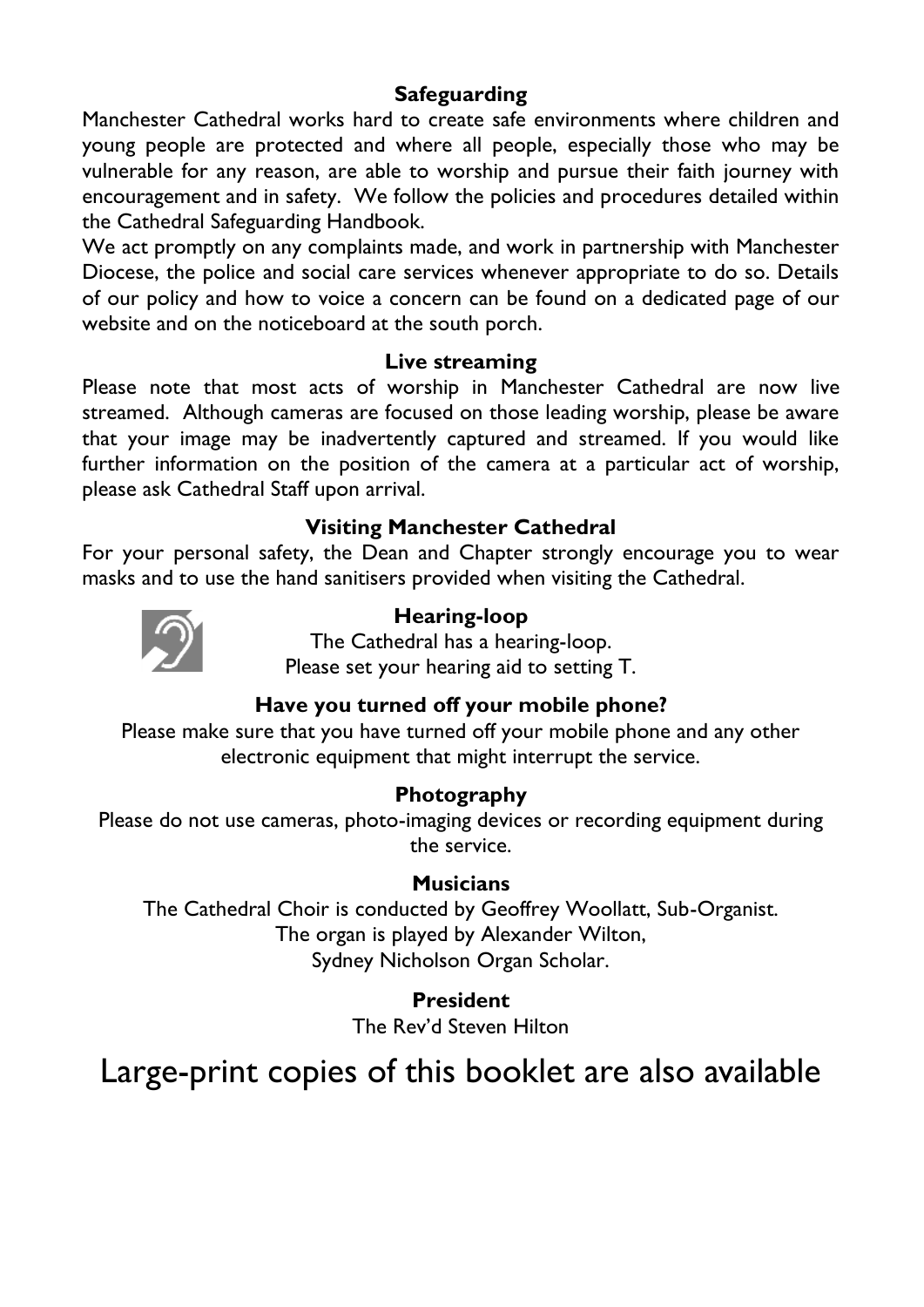### **Safeguarding**

Manchester Cathedral works hard to create safe environments where children and young people are protected and where all people, especially those who may be vulnerable for any reason, are able to worship and pursue their faith journey with encouragement and in safety. We follow the policies and procedures detailed within the Cathedral Safeguarding Handbook.

We act promptly on any complaints made, and work in partnership with Manchester Diocese, the police and social care services whenever appropriate to do so. Details of our policy and how to voice a concern can be found on a dedicated page of our website and on the noticeboard at the south porch.

### **Live streaming**

Please note that most acts of worship in Manchester Cathedral are now live streamed. Although cameras are focused on those leading worship, please be aware that your image may be inadvertently captured and streamed. If you would like further information on the position of the camera at a particular act of worship, please ask Cathedral Staff upon arrival.

### **Visiting Manchester Cathedral**

For your personal safety, the Dean and Chapter strongly encourage you to wear masks and to use the hand sanitisers provided when visiting the Cathedral.



### **Hearing-loop**

The Cathedral has a hearing-loop. Please set your hearing aid to setting T.

### **Have you turned off your mobile phone?**

Please make sure that you have turned off your mobile phone and any other electronic equipment that might interrupt the service.

### **Photography**

Please do not use cameras, photo-imaging devices or recording equipment during the service.

### **Musicians**

The Cathedral Choir is conducted by Geoffrey Woollatt, Sub-Organist. The organ is played by Alexander Wilton, Sydney Nicholson Organ Scholar.

**President**

The Rev'd Steven Hilton

# Large-print copies of this booklet are also available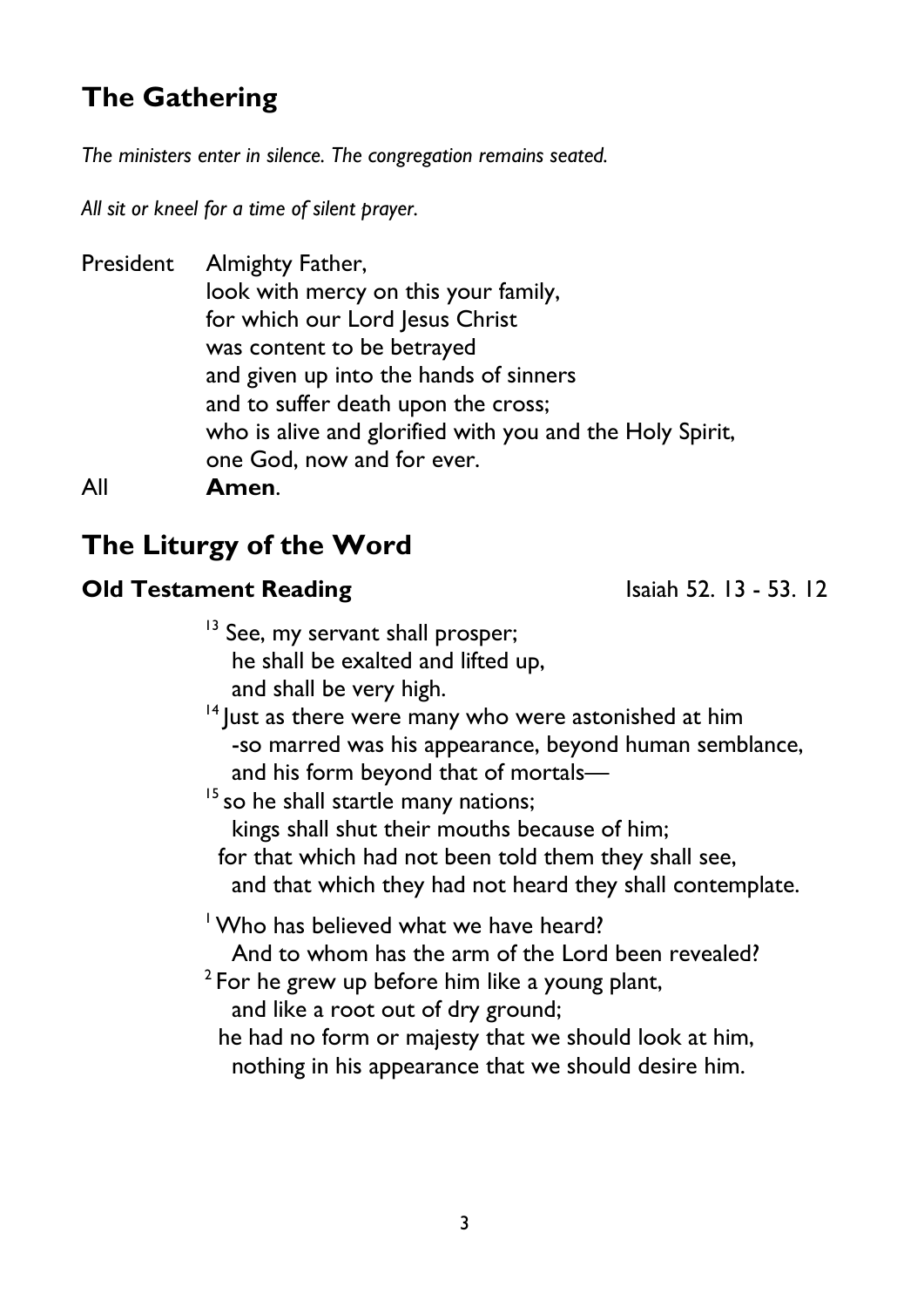# **The Gathering**

*The ministers enter in silence. The congregation remains seated.* 

*All sit or kneel for a time of silent prayer.*

President Almighty Father, look with mercy on this your family, for which our Lord Jesus Christ was content to be betrayed and given up into the hands of sinners and to suffer death upon the cross; who is alive and glorified with you and the Holy Spirit, one God, now and for ever. All **Amen**.

# **The Liturgy of the Word**

### **Old Testament Reading** Isaiah 52. 13 - 53. 12

<sup>13</sup> See, my servant shall prosper; he shall be exalted and lifted up, and shall be very high.

 $14$  lust as there were many who were astonished at him -so marred was his appearance, beyond human semblance, and his form beyond that of mortals—

 $15$  so he shall startle many nations; kings shall shut their mouths because of him; for that which had not been told them they shall see, and that which they had not heard they shall contemplate.

<sup>1</sup> Who has believed what we have heard?

And to whom has the arm of the Lord been revealed?

 $2$  For he grew up before him like a young plant, and like a root out of dry ground;

 he had no form or majesty that we should look at him, nothing in his appearance that we should desire him.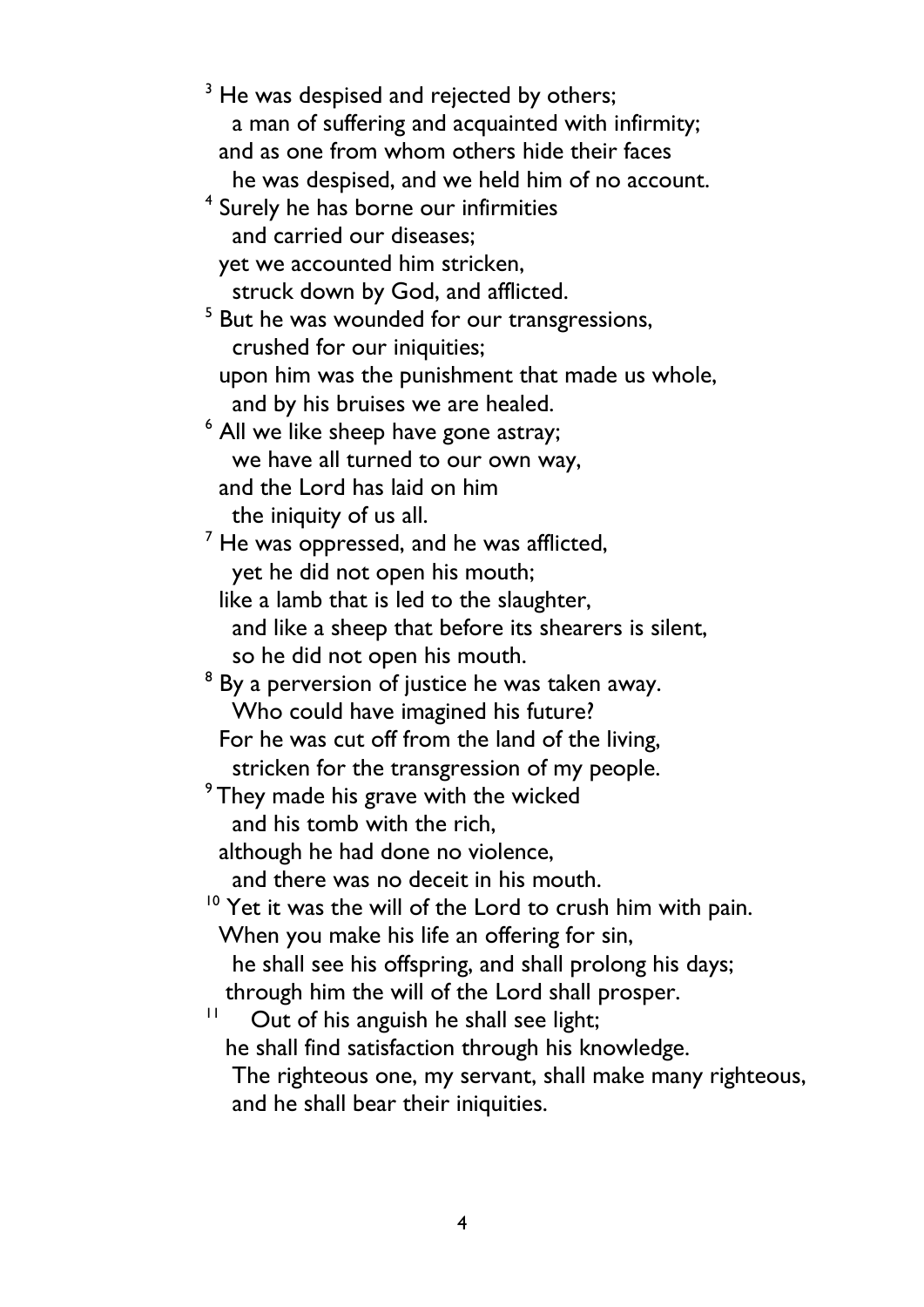<sup>3</sup> He was despised and rejected by others; a man of suffering and acquainted with infirmity; and as one from whom others hide their faces he was despised, and we held him of no account. 4 Surely he has borne our infirmities and carried our diseases; yet we accounted him stricken, struck down by God, and afflicted. <sup>5</sup> But he was wounded for our transgressions, crushed for our iniquities; upon him was the punishment that made us whole, and by his bruises we are healed. <sup>6</sup> All we like sheep have gone astray; we have all turned to our own way, and the Lord has laid on him the iniquity of us all.  $<sup>7</sup>$  He was oppressed, and he was afflicted,</sup> yet he did not open his mouth; like a lamb that is led to the slaughter, and like a sheep that before its shearers is silent, so he did not open his mouth.  $8$  By a perversion of justice he was taken away. Who could have imagined his future? For he was cut off from the land of the living, stricken for the transgression of my people. <sup>9</sup> They made his grave with the wicked and his tomb with the rich, although he had done no violence, and there was no deceit in his mouth. <sup>10</sup> Yet it was the will of the Lord to crush him with pain. When you make his life an offering for sin, he shall see his offspring, and shall prolong his days; through him the will of the Lord shall prosper. 11 Out of his anguish he shall see light; he shall find satisfaction through his knowledge. The righteous one, my servant, shall make many righteous,

and he shall bear their iniquities.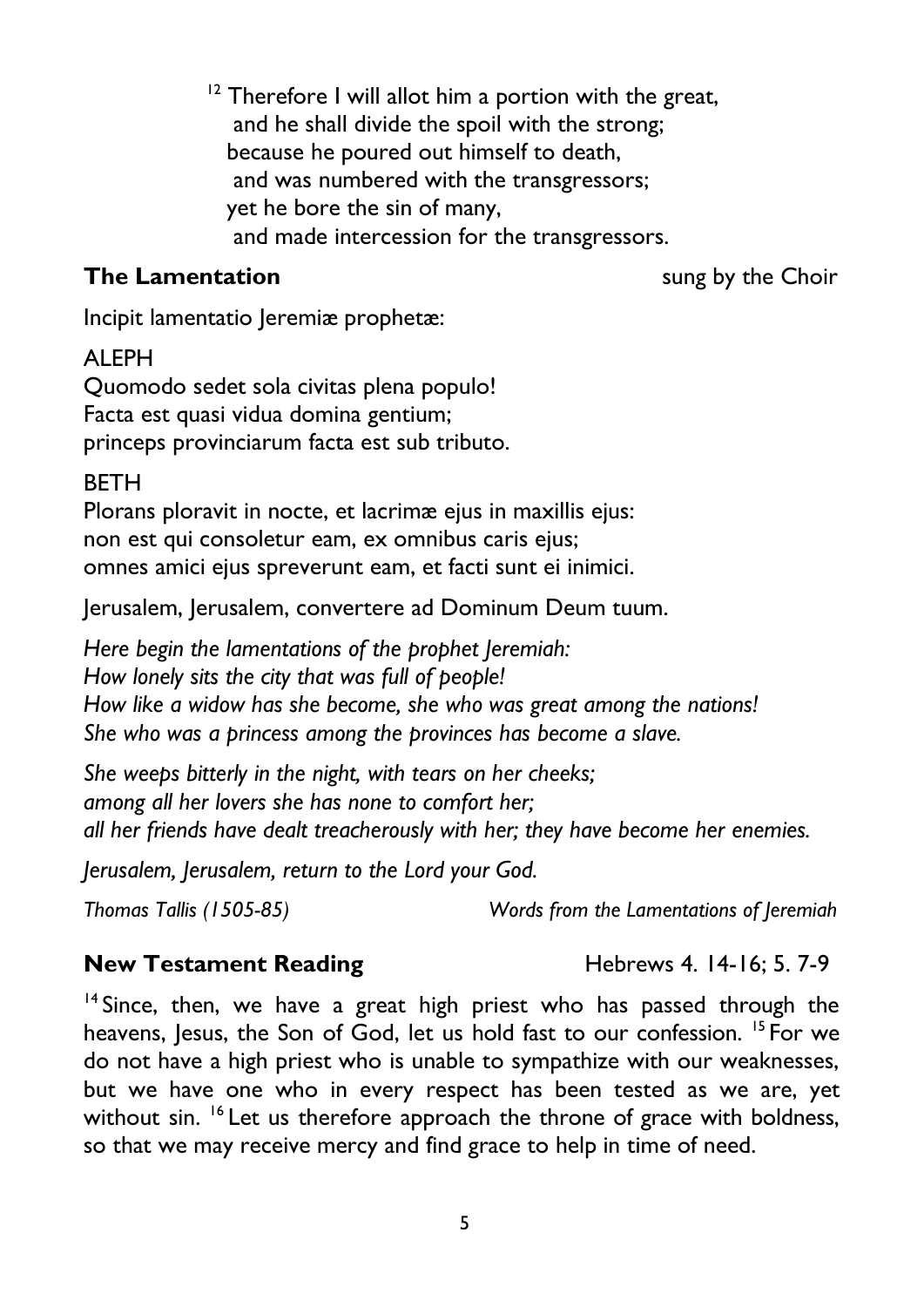$12$  Therefore I will allot him a portion with the great, and he shall divide the spoil with the strong; because he poured out himself to death, and was numbered with the transgressors; yet he bore the sin of many, and made intercession for the transgressors.

### **The Lamentation** sung by the Choir

Incipit lamentatio Jeremiæ prophetæ:

### ALEPH

Quomodo sedet sola civitas plena populo! Facta est quasi vidua domina gentium; princeps provinciarum facta est sub tributo.

### **BFTH**

Plorans ploravit in nocte, et lacrimæ ejus in maxillis ejus: non est qui consoletur eam, ex omnibus caris ejus; omnes amici ejus spreverunt eam, et facti sunt ei inimici.

Jerusalem, Jerusalem, convertere ad Dominum Deum tuum.

*Here begin the lamentations of the prophet Jeremiah: How lonely sits the city that was full of people! How like a widow has she become, she who was great among the nations! She who was a princess among the provinces has become a slave.*

*She weeps bitterly in the night, with tears on her cheeks; among all her lovers she has none to comfort her; all her friends have dealt treacherously with her; they have become her enemies.*

*Jerusalem, Jerusalem, return to the Lord your God.*

### *Thomas Tallis (1505-85) Words from the Lamentations of Jeremiah*

### **New Testament Reading Hebrews 4. 14-16; 5. 7-9**

 $14$  Since, then, we have a great high priest who has passed through the heavens, Jesus, the Son of God, let us hold fast to our confession. <sup>15</sup> For we do not have a high priest who is unable to sympathize with our weaknesses, but we have one who in every respect has been tested as we are, yet without sin. <sup>16</sup> Let us therefore approach the throne of grace with boldness, so that we may receive mercy and find grace to help in time of need.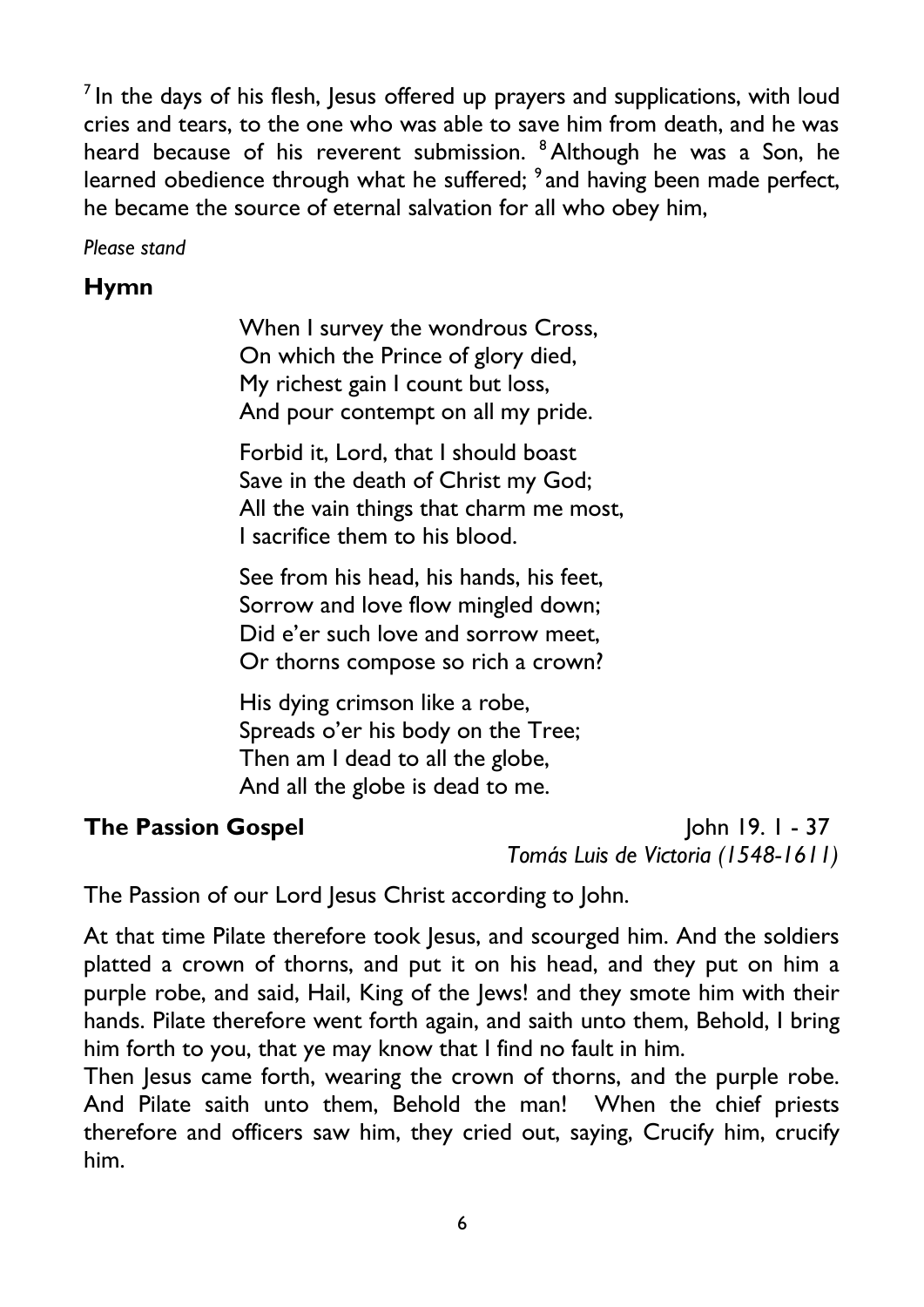$<sup>7</sup>$  In the days of his flesh, Jesus offered up prayers and supplications, with loud</sup> cries and tears, to the one who was able to save him from death, and he was heard because of his reverent submission. <sup>8</sup> Although he was a Son, he learned obedience through what he suffered; <sup>9</sup> and having been made perfect, he became the source of eternal salvation for all who obey him,

*Please stand*

### **Hymn**

When I survey the wondrous Cross, On which the Prince of glory died, My richest gain I count but loss, And pour contempt on all my pride.

Forbid it, Lord, that I should boast Save in the death of Christ my God; All the vain things that charm me most, I sacrifice them to his blood.

See from his head, his hands, his feet, Sorrow and love flow mingled down; Did e'er such love and sorrow meet, Or thorns compose so rich a crown?

His dying crimson like a robe, Spreads o'er his body on the Tree; Then am I dead to all the globe, And all the globe is dead to me.

**The Passion Gospel** John 19. 1 - 37  *Tomás Luis de Victoria (1548-1611)*

The Passion of our Lord Jesus Christ according to John.

At that time Pilate therefore took Jesus, and scourged him. And the soldiers platted a crown of thorns, and put it on his head, and they put on him a purple robe, and said, Hail, King of the Jews! and they smote him with their hands. Pilate therefore went forth again, and saith unto them, Behold, I bring him forth to you, that ye may know that I find no fault in him.

Then Jesus came forth, wearing the crown of thorns, and the purple robe. And Pilate saith unto them, Behold the man! When the chief priests therefore and officers saw him, they cried out, saying, Crucify him, crucify him.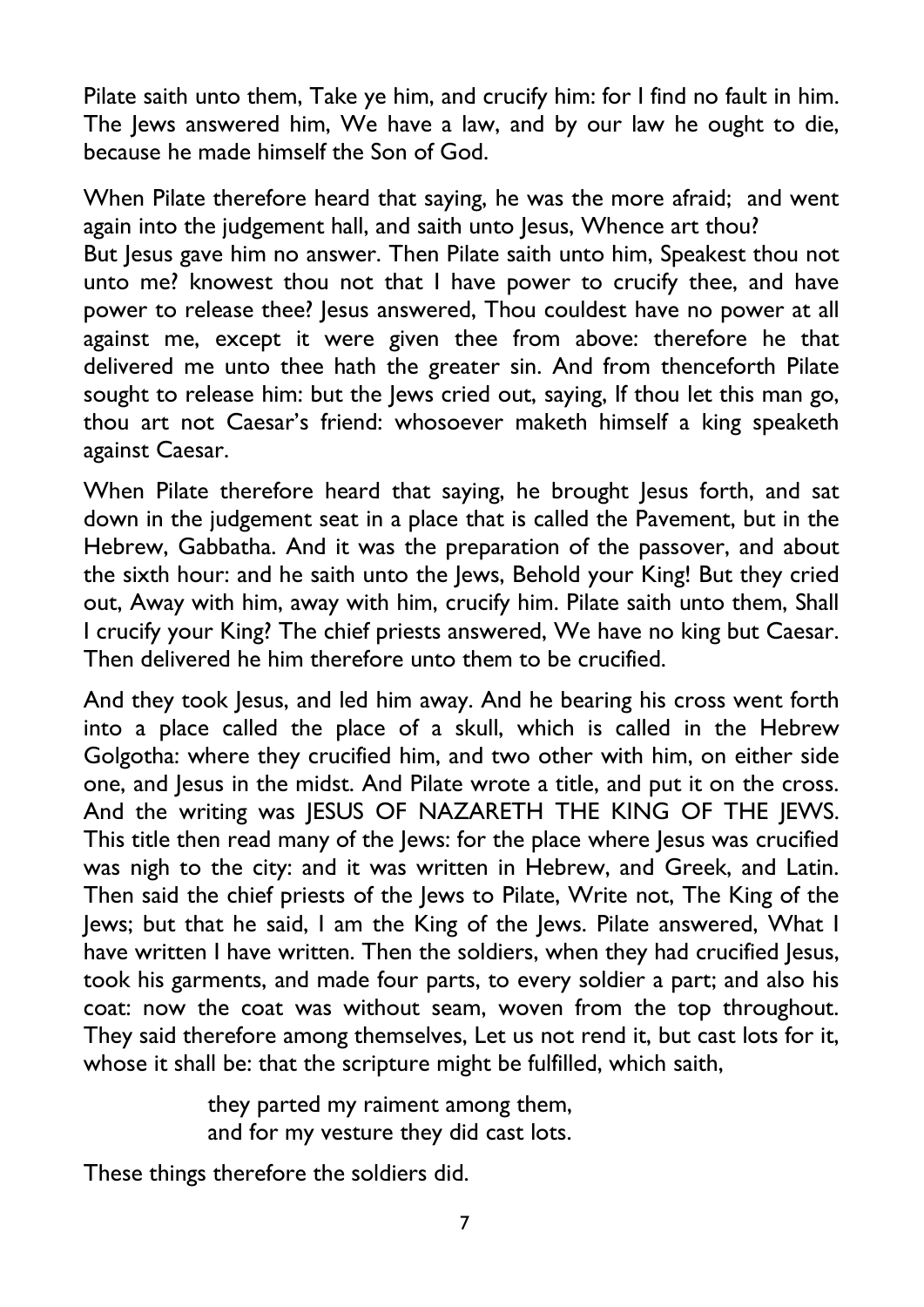Pilate saith unto them, Take ye him, and crucify him: for I find no fault in him. The Jews answered him, We have a law, and by our law he ought to die, because he made himself the Son of God.

When Pilate therefore heard that saying, he was the more afraid; and went again into the judgement hall, and saith unto Jesus, Whence art thou? But Jesus gave him no answer. Then Pilate saith unto him, Speakest thou not unto me? knowest thou not that I have power to crucify thee, and have power to release thee? Jesus answered, Thou couldest have no power at all against me, except it were given thee from above: therefore he that delivered me unto thee hath the greater sin. And from thenceforth Pilate sought to release him: but the Jews cried out, saying, If thou let this man go, thou art not Caesar's friend: whosoever maketh himself a king speaketh against Caesar.

When Pilate therefore heard that saying, he brought Jesus forth, and sat down in the judgement seat in a place that is called the Pavement, but in the Hebrew, Gabbatha. And it was the preparation of the passover, and about the sixth hour: and he saith unto the Jews, Behold your King! But they cried out, Away with him, away with him, crucify him. Pilate saith unto them, Shall I crucify your King? The chief priests answered, We have no king but Caesar. Then delivered he him therefore unto them to be crucified.

And they took Jesus, and led him away. And he bearing his cross went forth into a place called the place of a skull, which is called in the Hebrew Golgotha: where they crucified him, and two other with him, on either side one, and Jesus in the midst. And Pilate wrote a title, and put it on the cross. And the writing was IESUS OF NAZARETH THE KING OF THE IEWS. This title then read many of the Jews: for the place where Jesus was crucified was nigh to the city: and it was written in Hebrew, and Greek, and Latin. Then said the chief priests of the Jews to Pilate, Write not, The King of the Jews; but that he said, I am the King of the Jews. Pilate answered, What I have written I have written. Then the soldiers, when they had crucified Jesus, took his garments, and made four parts, to every soldier a part; and also his coat: now the coat was without seam, woven from the top throughout. They said therefore among themselves, Let us not rend it, but cast lots for it, whose it shall be: that the scripture might be fulfilled, which saith,

> they parted my raiment among them, and for my vesture they did cast lots.

These things therefore the soldiers did.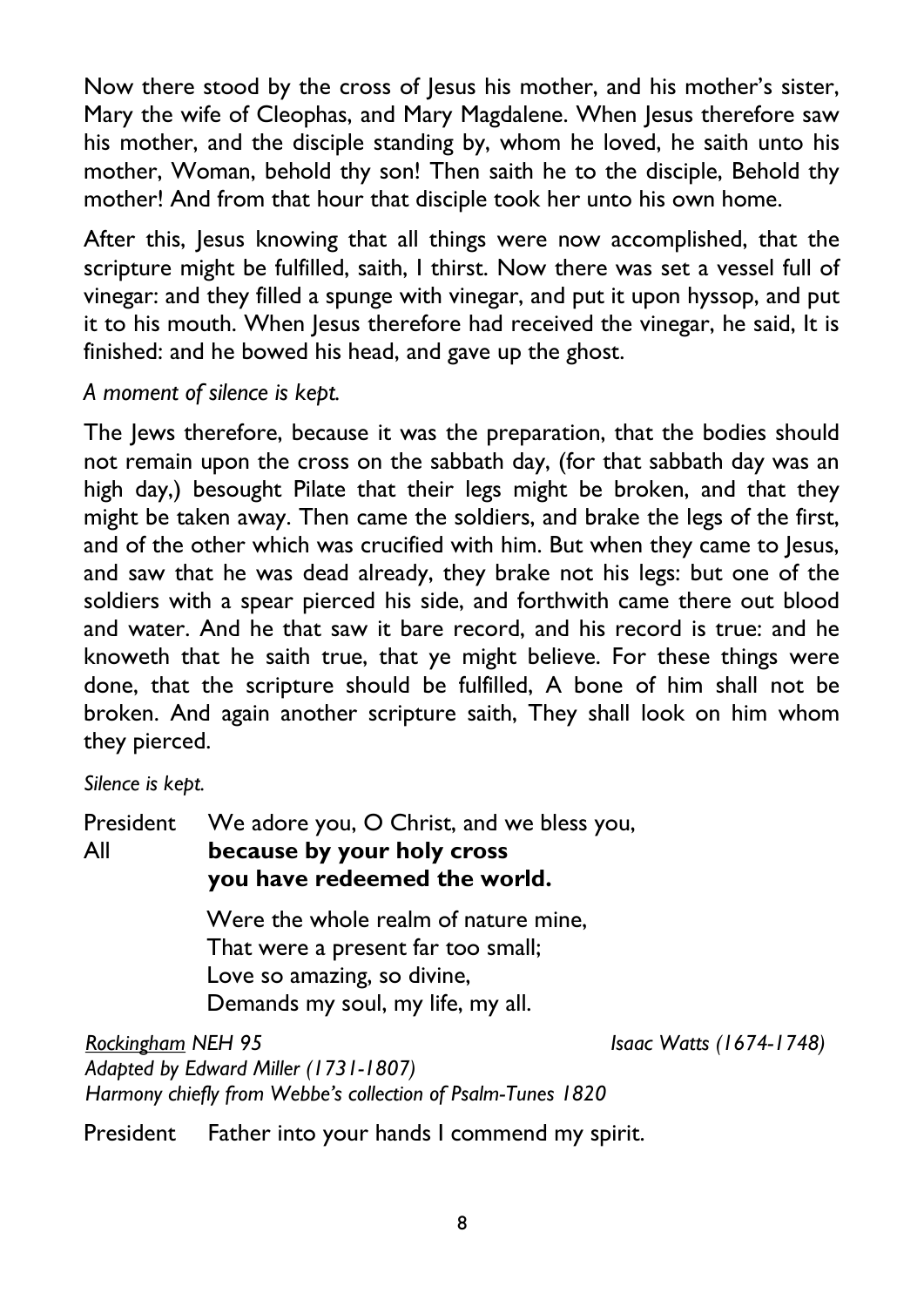Now there stood by the cross of lesus his mother, and his mother's sister, Mary the wife of Cleophas, and Mary Magdalene. When Jesus therefore saw his mother, and the disciple standing by, whom he loved, he saith unto his mother, Woman, behold thy son! Then saith he to the disciple, Behold thy mother! And from that hour that disciple took her unto his own home.

After this, Jesus knowing that all things were now accomplished, that the scripture might be fulfilled, saith, I thirst. Now there was set a vessel full of vinegar: and they filled a spunge with vinegar, and put it upon hyssop, and put it to his mouth. When Jesus therefore had received the vinegar, he said, It is finished: and he bowed his head, and gave up the ghost.

*A moment of silence is kept.*

The Jews therefore, because it was the preparation, that the bodies should not remain upon the cross on the sabbath day, (for that sabbath day was an high day,) besought Pilate that their legs might be broken, and that they might be taken away. Then came the soldiers, and brake the legs of the first, and of the other which was crucified with him. But when they came to Jesus, and saw that he was dead already, they brake not his legs: but one of the soldiers with a spear pierced his side, and forthwith came there out blood and water. And he that saw it bare record, and his record is true: and he knoweth that he saith true, that ye might believe. For these things were done, that the scripture should be fulfilled, A bone of him shall not be broken. And again another scripture saith, They shall look on him whom they pierced.

*Silence is kept.*

President We adore you, O Christ, and we bless you, All **because by your holy cross you have redeemed the world.** Were the whole realm of nature mine, That were a present far too small; Love so amazing, so divine, Demands my soul, my life, my all.

*Rockingham NEH 95 Isaac Watts (1674-1748) Adapted by Edward Miller (1731-1807) Harmony chiefly from Webbe's collection of Psalm-Tunes 1820*

President Father into your hands I commend my spirit.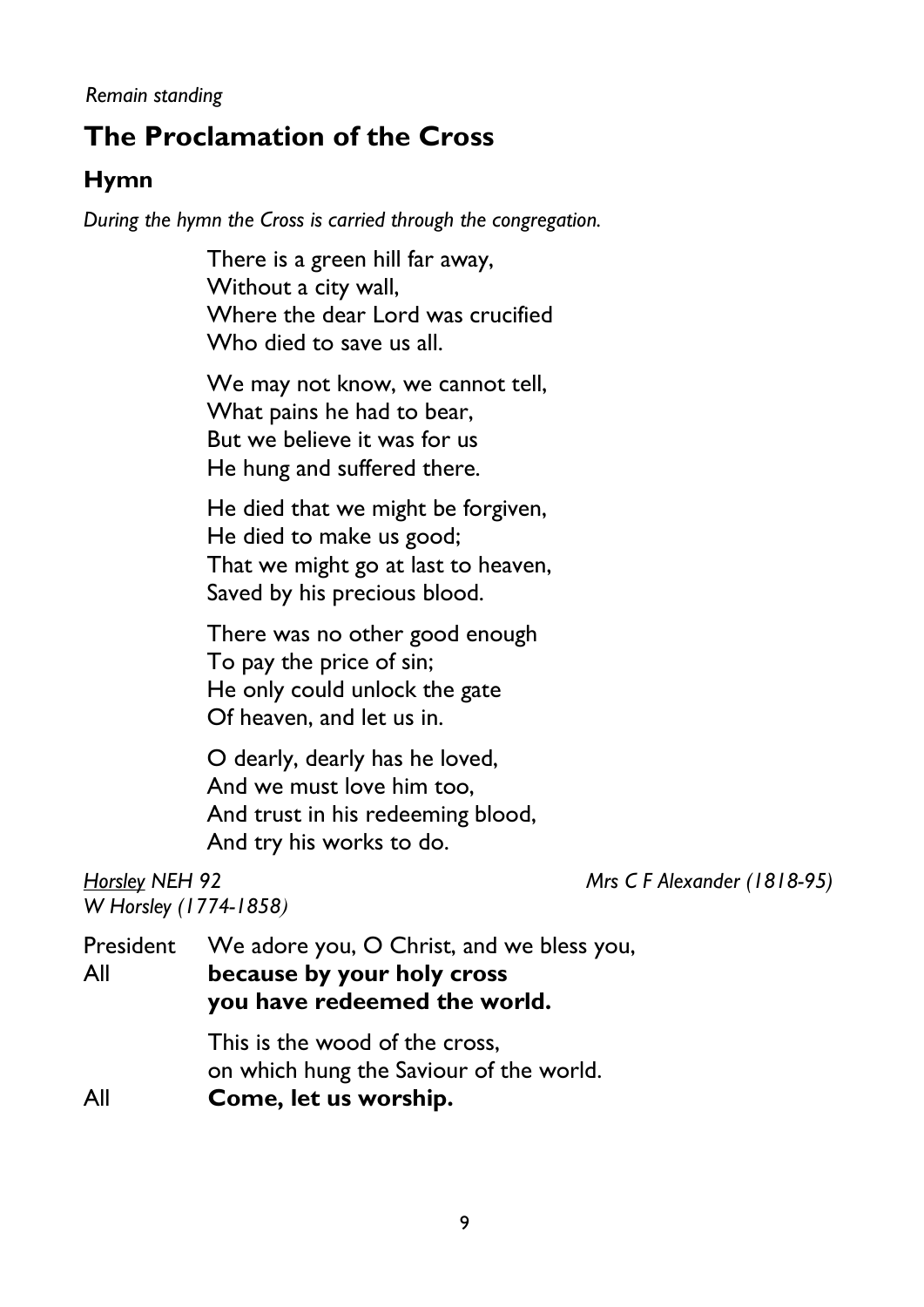# **The Proclamation of the Cross**

### **Hymn**

*During the hymn the Cross is carried through the congregation.*

There is a green hill far away, Without a city wall, Where the dear Lord was crucified Who died to save us all.

We may not know, we cannot tell, What pains he had to bear, But we believe it was for us He hung and suffered there.

He died that we might be forgiven, He died to make us good; That we might go at last to heaven, Saved by his precious blood.

There was no other good enough To pay the price of sin; He only could unlock the gate Of heaven, and let us in.

O dearly, dearly has he loved, And we must love him too, And trust in his redeeming blood, And try his works to do.

*W Horsley (1774-1858)*

*Horsley NEH 92 Mrs C F Alexander (1818-95)*

President We adore you, O Christ, and we bless you, All **because by your holy cross you have redeemed the world.**

> This is the wood of the cross, on which hung the Saviour of the world.

All **Come, let us worship.**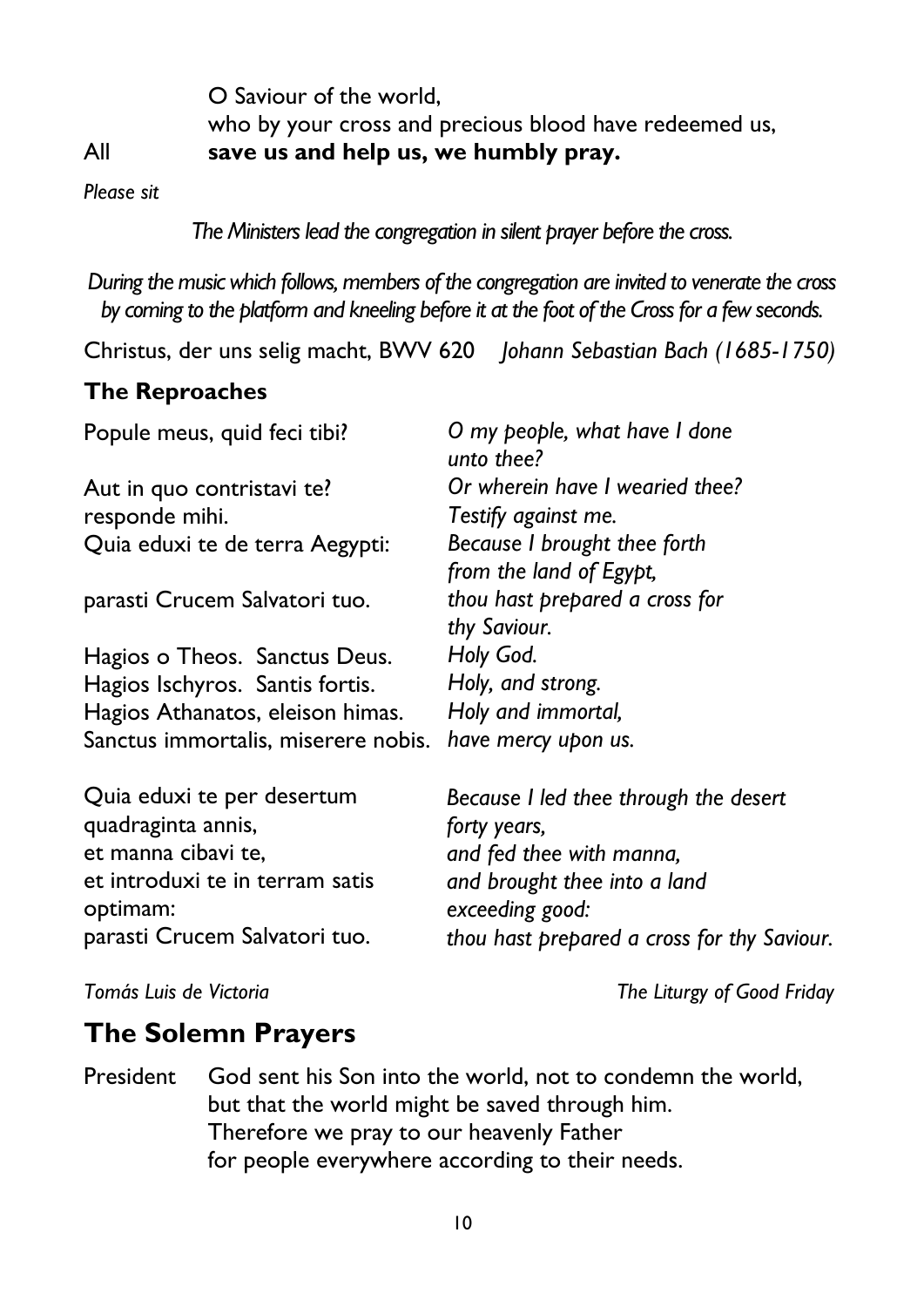O Saviour of the world, who by your cross and precious blood have redeemed us, All **save us and help us, we humbly pray.**

*Please sit*

*The Ministers lead the congregation in silent prayer before the cross.*

*During the music which follows, members of the congregation are invited to venerate the cross by coming to the platform and kneeling before it at the foot of the Cross for a few seconds.* 

Christus, der uns selig macht, BWV 620 *Johann Sebastian Bach (1685-1750)*

### **The Reproaches**

Popule meus, quid feci tibi? Aut in quo contristavi te? responde mihi. Quia eduxi te de terra Aegypti: parasti Crucem Salvatori tuo. Hagios o Theos. Sanctus Deus. Hagios Ischyros. Santis fortis. Hagios Athanatos, eleison himas. Sanctus immortalis, miserere nobis. Quia eduxi te per desertum quadraginta annis, et manna cibavi te, et introduxi te in terram satis optimam: parasti Crucem Salvatori tuo. *O my people, what have I done unto thee? Or wherein have I wearied thee? Testify against me. Because I brought thee forth from the land of Egypt, thou hast prepared a cross for thy Saviour. Holy God. Holy, and strong. Holy and immortal, have mercy upon us. Because I led thee through the desert forty years, and fed thee with manna, and brought thee into a land exceeding good: thou hast prepared a cross for thy Saviour.*

*Tomás Luis de Victoria The Liturgy of Good Friday* 

## **The Solemn Prayers**

President God sent his Son into the world, not to condemn the world, but that the world might be saved through him. Therefore we pray to our heavenly Father for people everywhere according to their needs.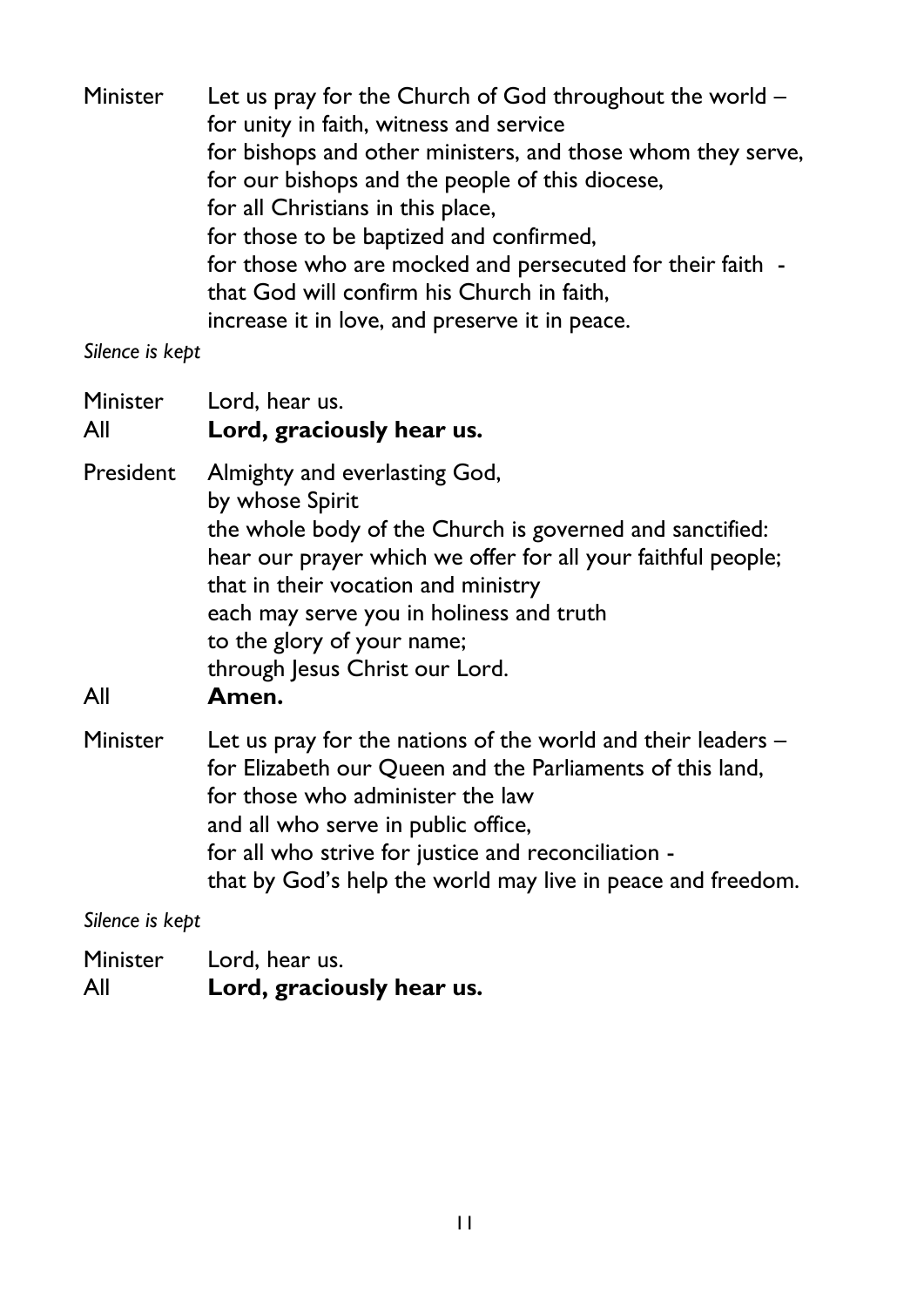Minister Let us pray for the Church of God throughout the world for unity in faith, witness and service for bishops and other ministers, and those whom they serve, for our bishops and the people of this diocese, for all Christians in this place, for those to be baptized and confirmed, for those who are mocked and persecuted for their faith that God will confirm his Church in faith, increase it in love, and preserve it in peace.

*Silence is kept*

| Minister<br>All  | Lord, hear us.<br>Lord, graciously hear us.                                                                                                                                                                                                                                                                                              |
|------------------|------------------------------------------------------------------------------------------------------------------------------------------------------------------------------------------------------------------------------------------------------------------------------------------------------------------------------------------|
| President<br>All | Almighty and everlasting God,<br>by whose Spirit<br>the whole body of the Church is governed and sanctified:<br>hear our prayer which we offer for all your faithful people;<br>that in their vocation and ministry<br>each may serve you in holiness and truth<br>to the glory of your name;<br>through Jesus Christ our Lord.<br>Amen. |
| Minister         | Let us pray for the nations of the world and their leaders -<br>for Elizabeth our Queen and the Parliaments of this land,<br>for those who administer the law<br>and all who serve in public office,<br>for all who strive for justice and reconciliation -<br>that by God's help the world may live in peace and freedom.               |

*Silence is kept*

Minister Lord, hear us. All **Lord, graciously hear us.**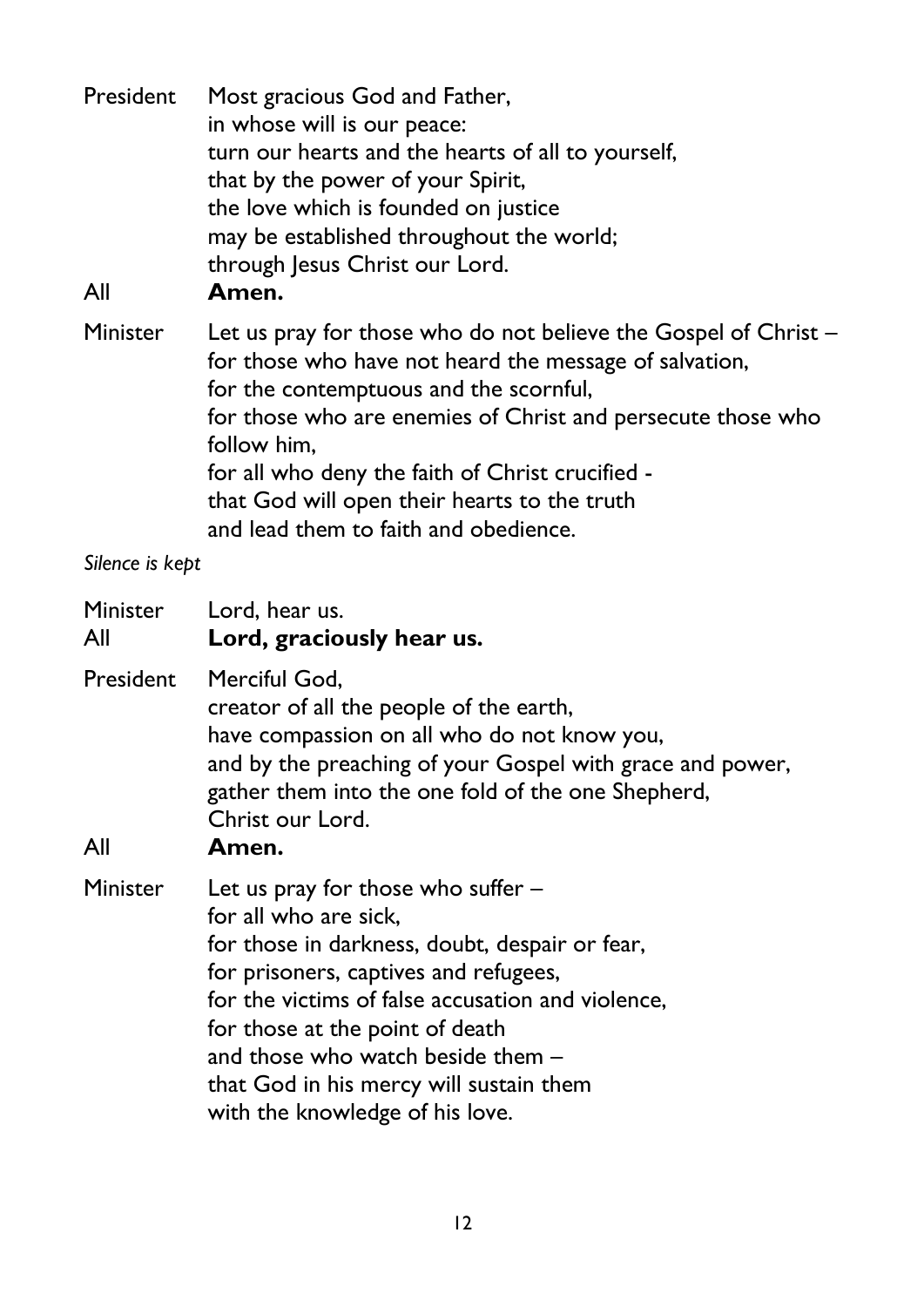| President<br>All | Most gracious God and Father,<br>in whose will is our peace:<br>turn our hearts and the hearts of all to yourself,<br>that by the power of your Spirit,<br>the love which is founded on justice<br>may be established throughout the world;<br>through Jesus Christ our Lord.<br>Amen.                |
|------------------|-------------------------------------------------------------------------------------------------------------------------------------------------------------------------------------------------------------------------------------------------------------------------------------------------------|
| Minister         | Let us pray for those who do not believe the Gospel of Christ –<br>for those who have not heard the message of salvation,<br>for the contemptuous and the scornful,<br>for those who are enemies of Christ and persecute those who<br>follow him,<br>for all who deny the faith of Christ crucified - |

| that God will open their hearts to the truth |
|----------------------------------------------|
| and lead them to faith and obedience.        |

*Silence is kept*

| Minister<br>All | Lord, hear us.<br>Lord, graciously hear us.                                                                                                                                                                                                                                                                                                                       |
|-----------------|-------------------------------------------------------------------------------------------------------------------------------------------------------------------------------------------------------------------------------------------------------------------------------------------------------------------------------------------------------------------|
| President       | Merciful God,<br>creator of all the people of the earth,<br>have compassion on all who do not know you,<br>and by the preaching of your Gospel with grace and power,<br>gather them into the one fold of the one Shepherd,<br>Christ our Lord.                                                                                                                    |
| All             | Amen.                                                                                                                                                                                                                                                                                                                                                             |
| Minister        | Let us pray for those who suffer -<br>for all who are sick.<br>for those in darkness, doubt, despair or fear,<br>for prisoners, captives and refugees,<br>for the victims of false accusation and violence,<br>for those at the point of death<br>and those who watch beside them -<br>that God in his mercy will sustain them<br>with the knowledge of his love. |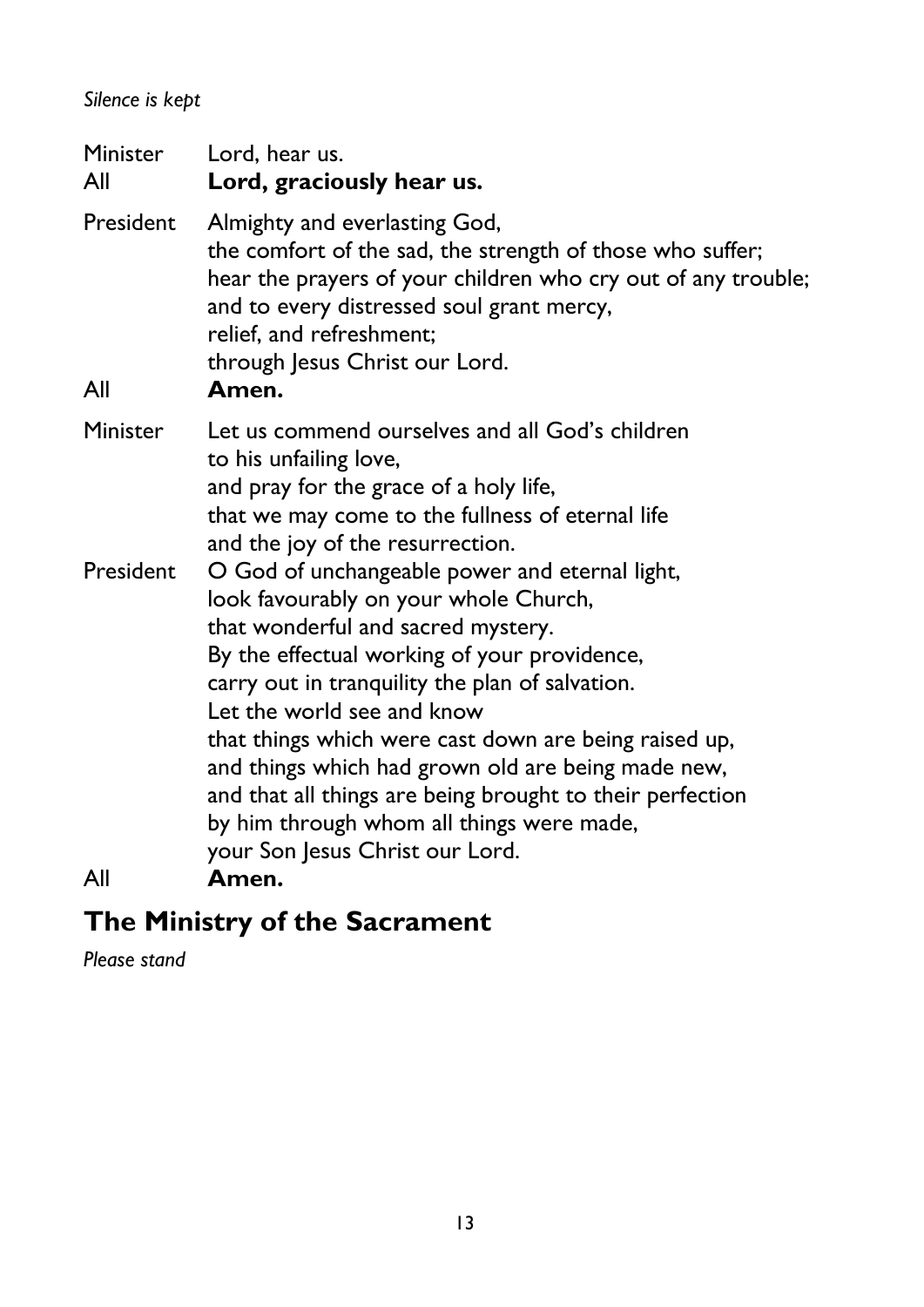### *Silence is kept*

Minister Lord, hear us. All **Lord, graciously hear us.** President Almighty and everlasting God, the comfort of the sad, the strength of those who suffer; hear the prayers of your children who cry out of any trouble; and to every distressed soul grant mercy, relief, and refreshment; through Jesus Christ our Lord. All **Amen.** Minister Let us commend ourselves and all God's children to his unfailing love, and pray for the grace of a holy life, that we may come to the fullness of eternal life and the joy of the resurrection. President O God of unchangeable power and eternal light, look favourably on your whole Church, that wonderful and sacred mystery. By the effectual working of your providence, carry out in tranquility the plan of salvation. Let the world see and know that things which were cast down are being raised up, and things which had grown old are being made new, and that all things are being brought to their perfection by him through whom all things were made, your Son Jesus Christ our Lord. All **Amen.** 

# **The Ministry of the Sacrament**

*Please stand*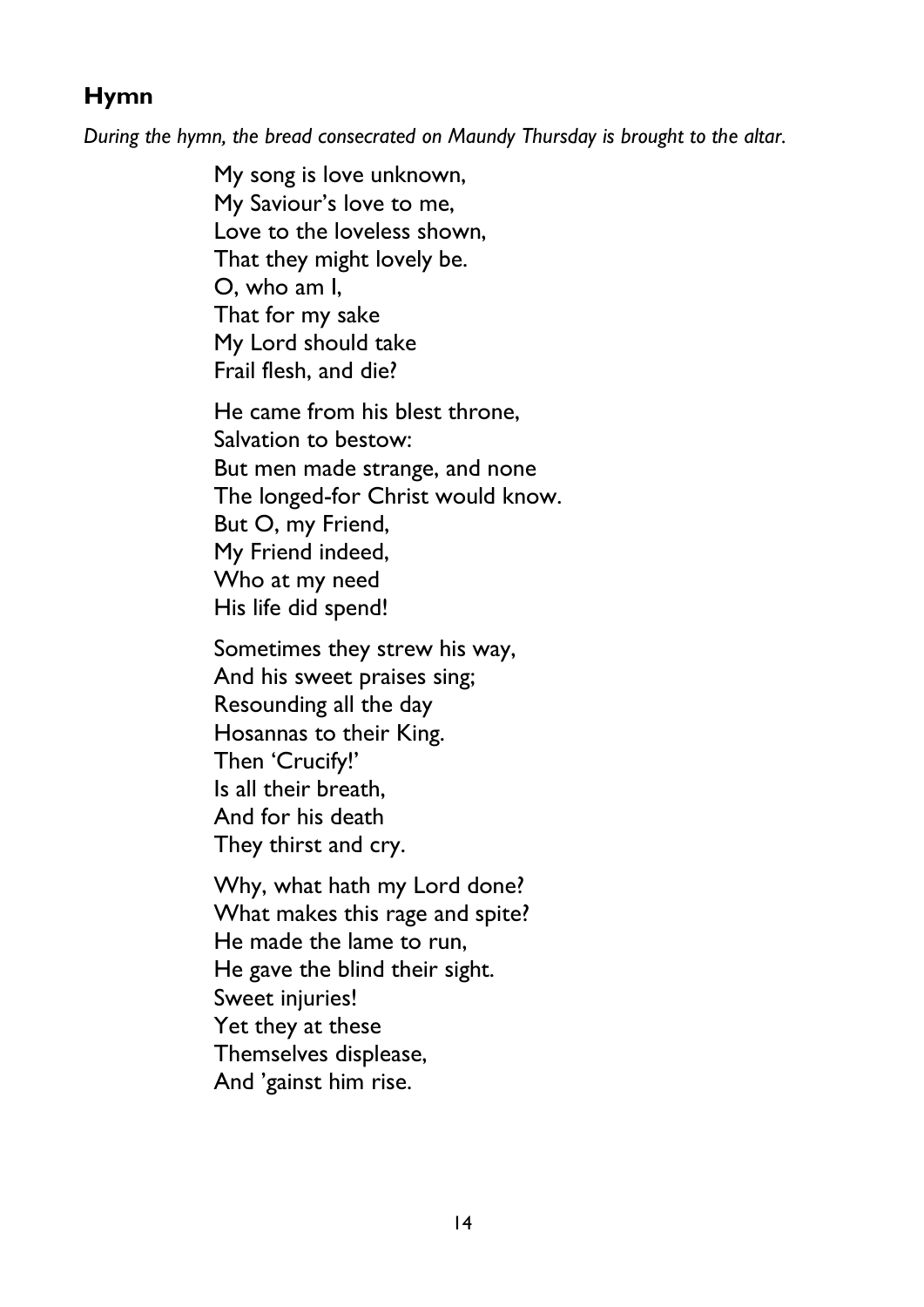### **Hymn**

*During the hymn, the bread consecrated on Maundy Thursday is brought to the altar.*

My song is love unknown, My Saviour's love to me, Love to the loveless shown, That they might lovely be. O, who am I, That for my sake My Lord should take Frail flesh, and die?

He came from his blest throne, Salvation to bestow: But men made strange, and none The longed-for Christ would know. But O, my Friend, My Friend indeed, Who at my need His life did spend!

Sometimes they strew his way, And his sweet praises sing; Resounding all the day Hosannas to their King. Then 'Crucify!' Is all their breath, And for his death They thirst and cry.

Why, what hath my Lord done? What makes this rage and spite? He made the lame to run, He gave the blind their sight. Sweet injuries! Yet they at these Themselves displease, And 'gainst him rise.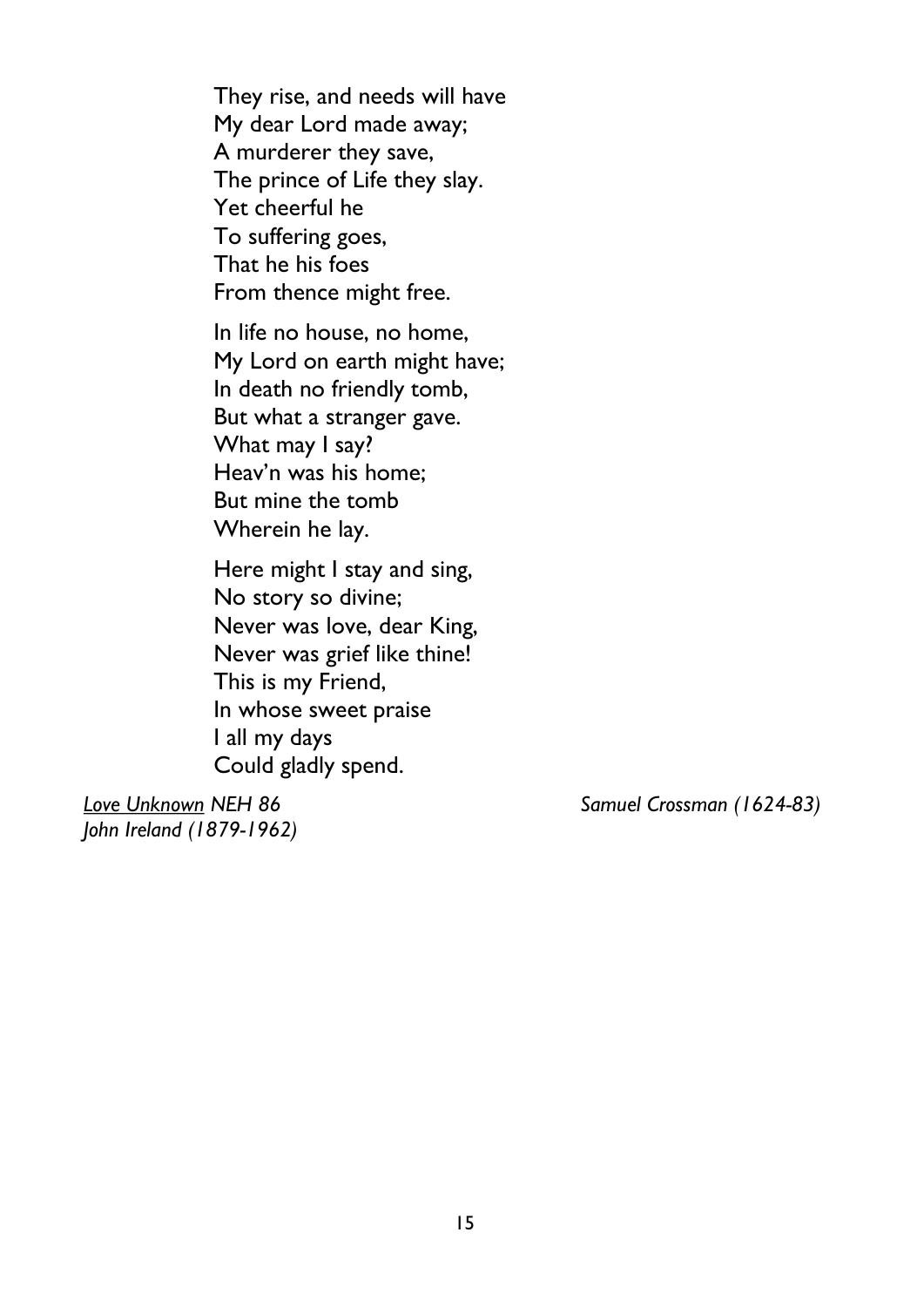They rise, and needs will have My dear Lord made away; A murderer they save, The prince of Life they slay. Yet cheerful he To suffering goes, That he his foes From thence might free.

In life no house, no home, My Lord on earth might have; In death no friendly tomb, But what a stranger gave. What may I say? Heav'n was his home; But mine the tomb Wherein he lay.

Here might I stay and sing, No story so divine; Never was love, dear King, Never was grief like thine! This is my Friend, In whose sweet praise I all my days Could gladly spend.

*John Ireland (1879-1962)*

*Love Unknown NEH 86 Samuel Crossman (1624-83)*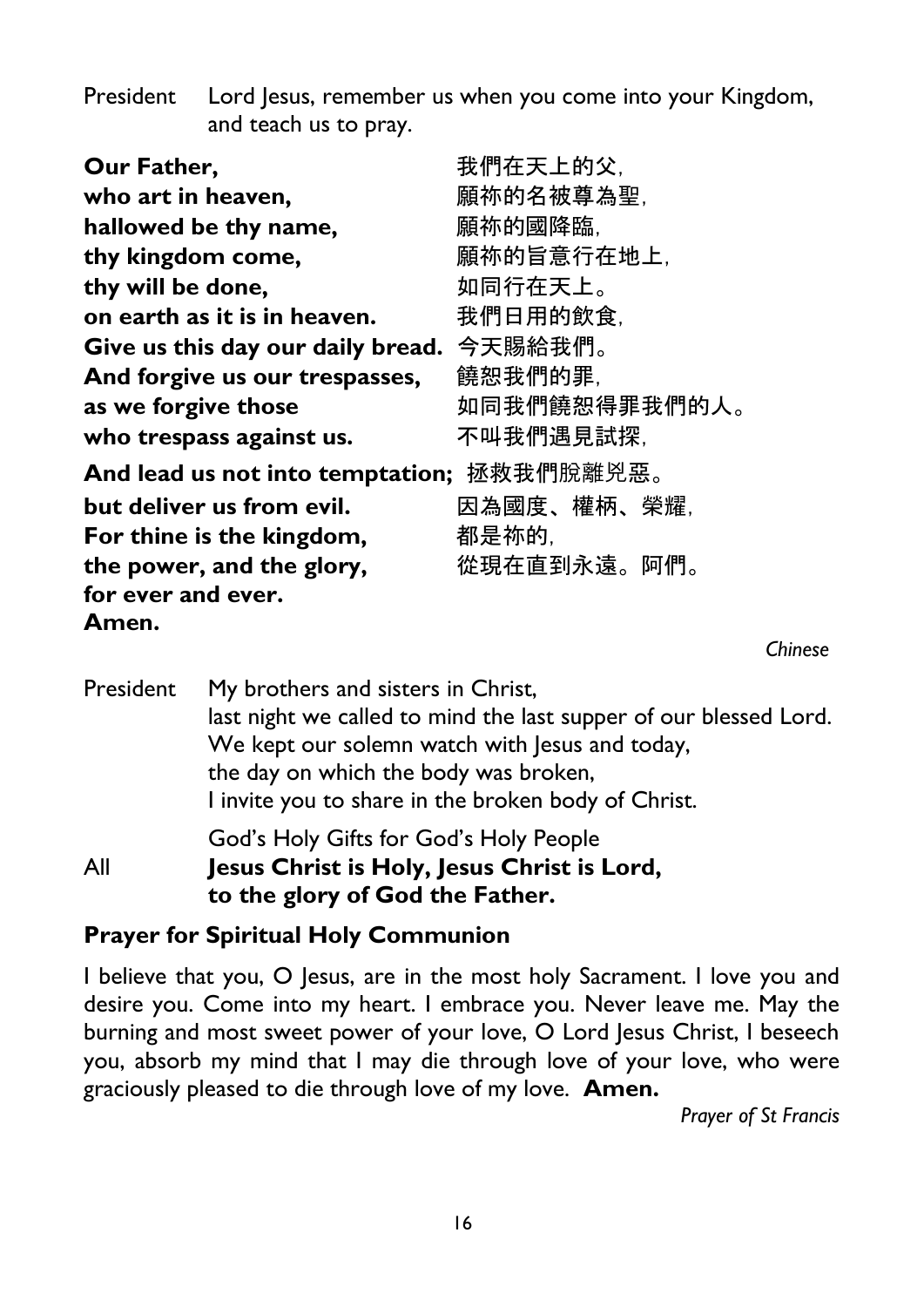President Lord Jesus, remember us when you come into your Kingdom, and teach us to pray.

| Our Father,                       | 我們在天上的父.      |
|-----------------------------------|---------------|
| who art in heaven,                | 願祢的名被尊為聖.     |
| hallowed be thy name,             | 願祢的國降臨.       |
| thy kingdom come,                 | 願祢的旨意行在地上,    |
| thy will be done,                 | 如同行在天上。       |
| on earth as it is in heaven.      | 我們日用的飲食,      |
| Give us this day our daily bread. | 今天賜給我們。       |
| And forgive us our trespasses,    | 饒恕我們的罪.       |
| as we forgive those               | 如同我們饒恕得罪我們的人。 |
| who trespass against us.          | 不叫我們遇見試探,     |
| And lead us not into temptation;  | 拯救我們脫離兇惡。     |
| but deliver us from evil.         | 因為國度、權柄、榮耀.   |
| For thine is the kingdom,         | 都是祢的.         |
| the power, and the glory,         | 從現在直到永遠。阿們。   |
| for ever and ever.                |               |
| Amen.                             |               |
|                                   |               |

President My brothers and sisters in Christ, last night we called to mind the last supper of our blessed Lord. We kept our solemn watch with Jesus and today, the day on which the body was broken, I invite you to share in the broken body of Christ. God's Holy Gifts for God's Holy People All **Jesus Christ is Holy, Jesus Christ is Lord, to the glory of God the Father.**

### **Prayer for Spiritual Holy Communion**

I believe that you, O Jesus, are in the most holy Sacrament. I love you and desire you. Come into my heart. I embrace you. Never leave me. May the burning and most sweet power of your love, O Lord Jesus Christ, I beseech you, absorb my mind that I may die through love of your love, who were graciously pleased to die through love of my love. **Amen.**

*Prayer of St Francis*

*Chinese*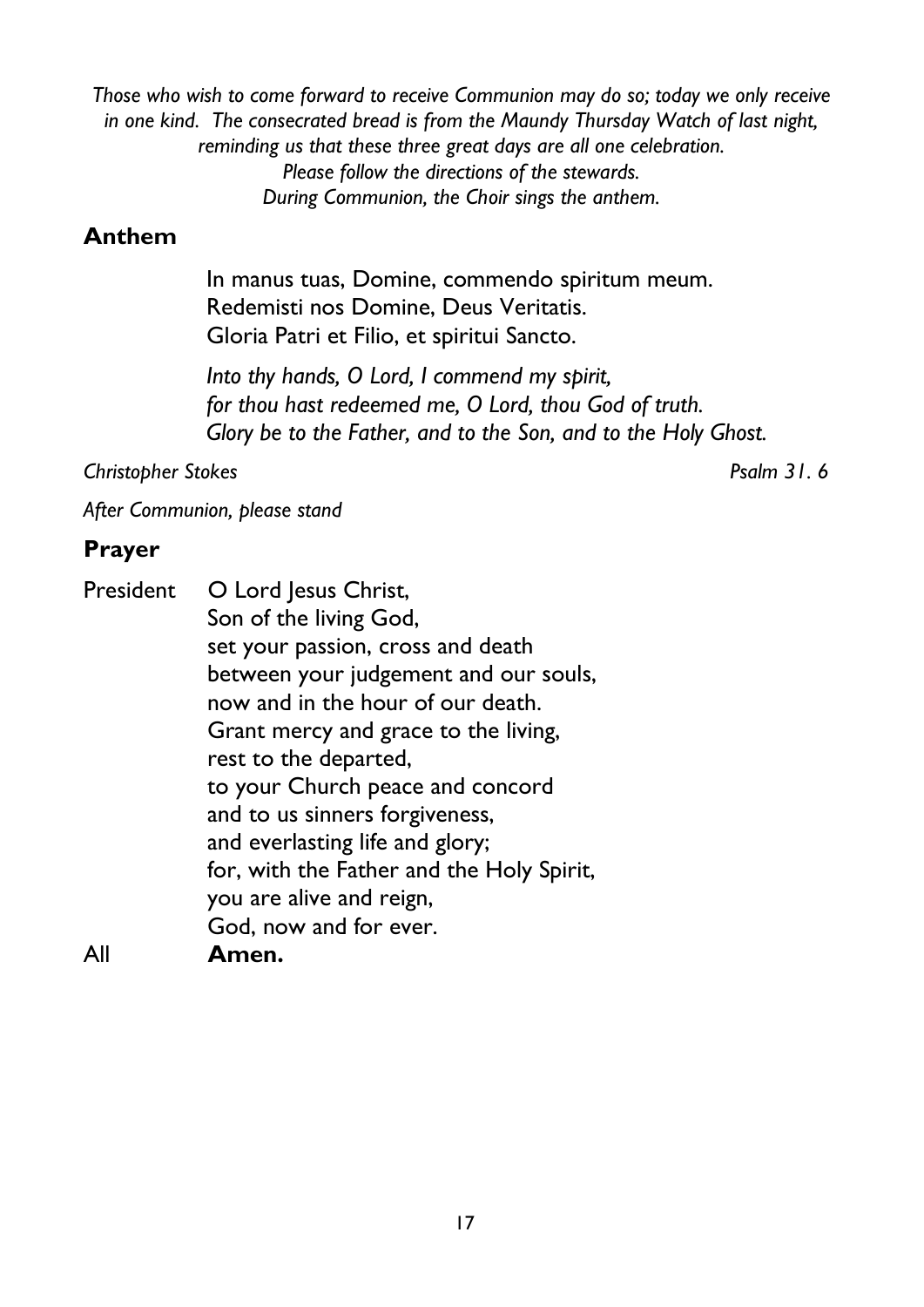*Those who wish to come forward to receive Communion may do so; today we only receive in one kind. The consecrated bread is from the Maundy Thursday Watch of last night, reminding us that these three great days are all one celebration. Please follow the directions of the stewards. During Communion, the Choir sings the anthem.*

### **Anthem**

In manus tuas, Domine, commendo spiritum meum. Redemisti nos Domine, Deus Veritatis. Gloria Patri et Filio, et spiritui Sancto.

*Into thy hands, O Lord, I commend my spirit, for thou hast redeemed me, O Lord, thou God of truth. Glory be to the Father, and to the Son, and to the Holy Ghost.*

*Christopher Stokes Psalm 31. 6*

*After Communion, please stand* 

### **Prayer**

| President | O Lord Jesus Christ,                      |
|-----------|-------------------------------------------|
|           | Son of the living God,                    |
|           | set your passion, cross and death         |
|           | between your judgement and our souls,     |
|           | now and in the hour of our death.         |
|           | Grant mercy and grace to the living,      |
|           | rest to the departed,                     |
|           | to your Church peace and concord          |
|           | and to us sinners forgiveness,            |
|           | and everlasting life and glory;           |
|           | for, with the Father and the Holy Spirit, |
|           | you are alive and reign,                  |
|           | God, now and for ever.                    |
| All       | Amen.                                     |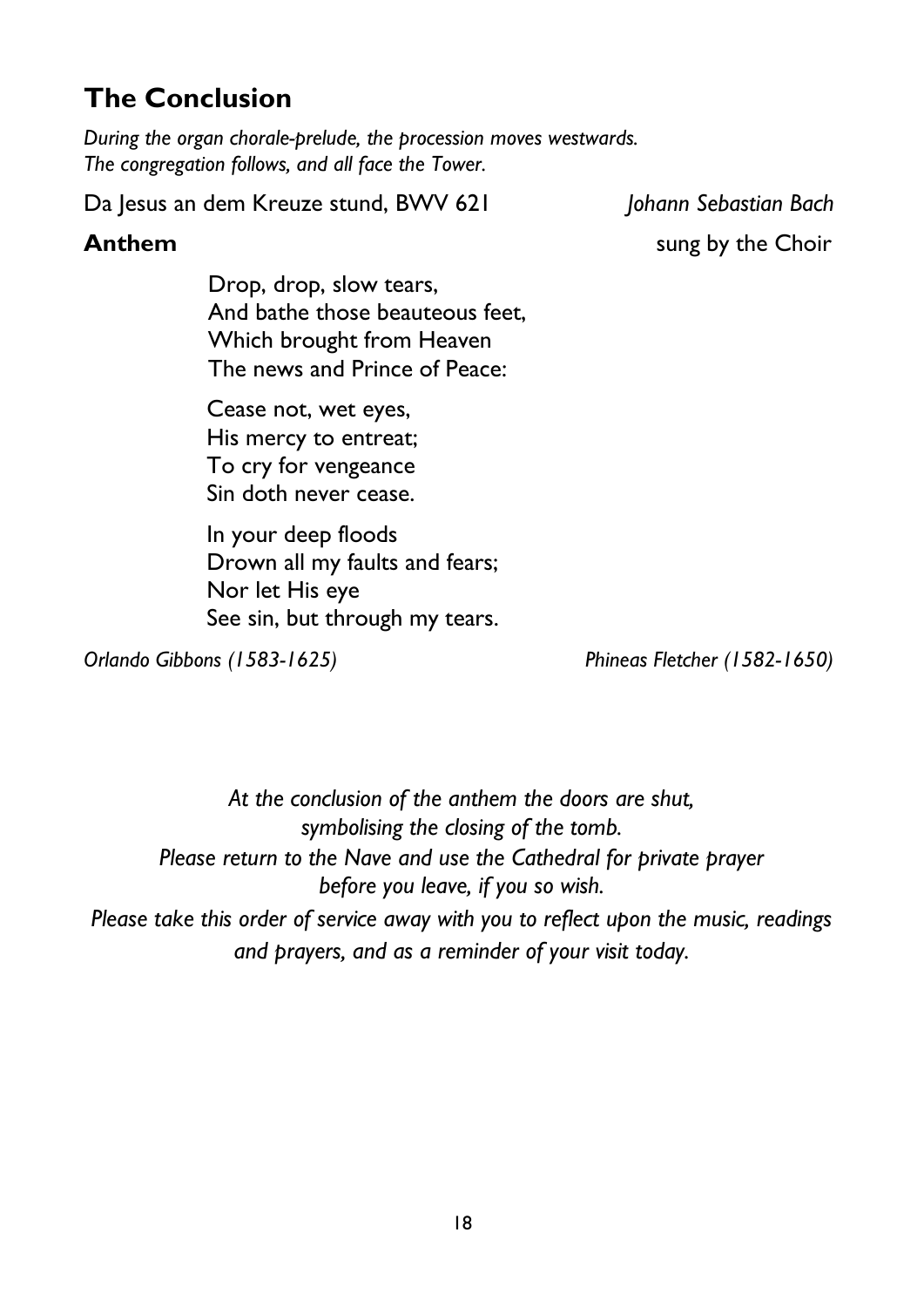# **The Conclusion**

*During the organ chorale-prelude, the procession moves westwards. The congregation follows, and all face the Tower.*

Da Jesus an dem Kreuze stund, BWV 621 *Johann Sebastian Bach*

**Anthem** sung by the Choir

Drop, drop, slow tears, And bathe those beauteous feet, Which brought from Heaven The news and Prince of Peace:

Cease not, wet eyes, His mercy to entreat; To cry for vengeance Sin doth never cease.

In your deep floods Drown all my faults and fears; Nor let His eye See sin, but through my tears.

*Orlando Gibbons (1583-1625) Phineas Fletcher (1582-1650)*

*At the conclusion of the anthem the doors are shut, symbolising the closing of the tomb. Please return to the Nave and use the Cathedral for private prayer before you leave, if you so wish. Please take this order of service away with you to reflect upon the music, readings and prayers, and as a reminder of your visit today.*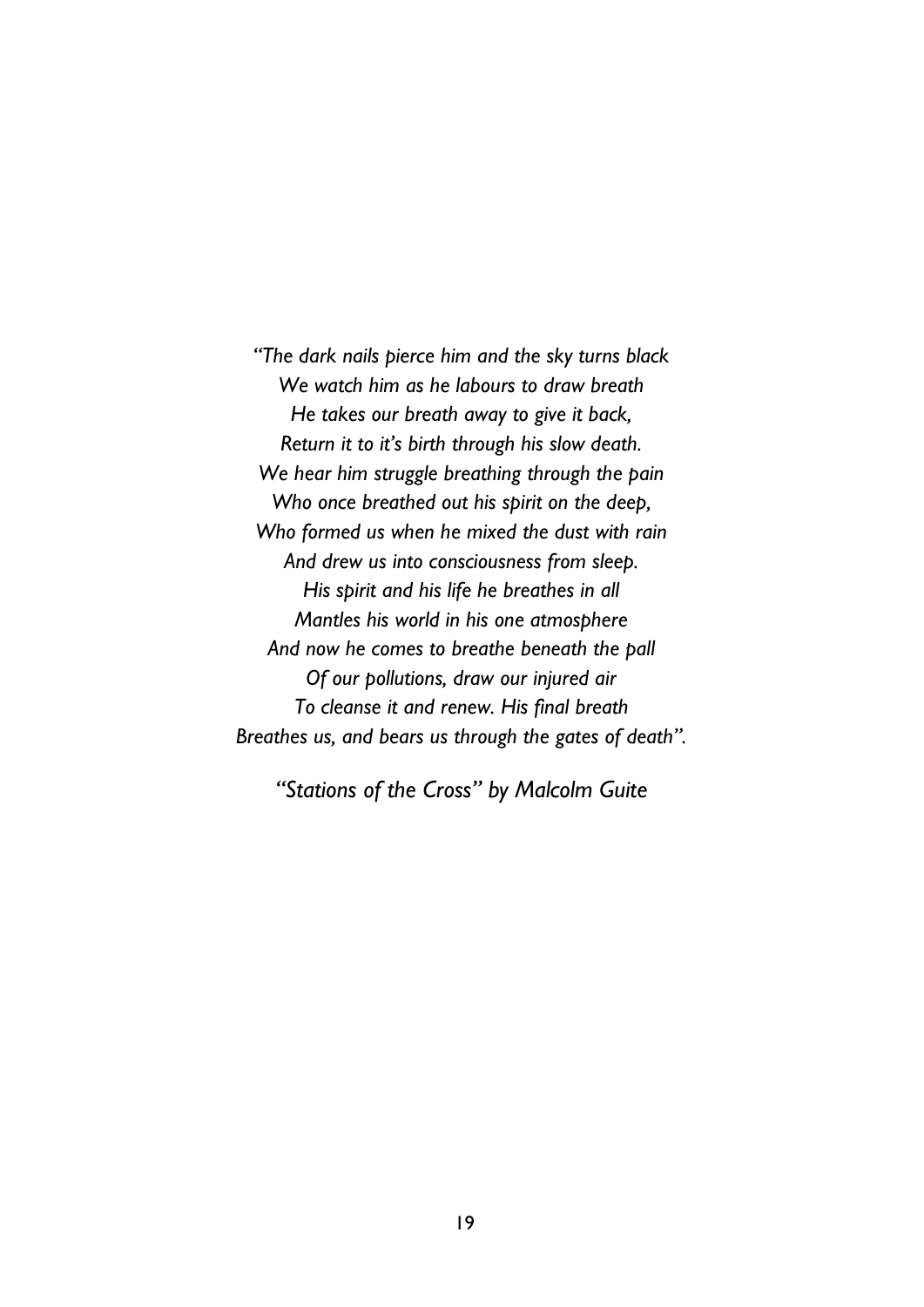*"The dark nails pierce him and the sky turns black We watch him as he labours to draw breath He takes our breath away to give it back, Return it to it's birth through his slow death. We hear him struggle breathing through the pain Who once breathed out his spirit on the deep, Who formed us when he mixed the dust with rain And drew us into consciousness from sleep. His spirit and his life he breathes in all Mantles his world in his one atmosphere And now he comes to breathe beneath the pall Of our pollutions, draw our injured air To cleanse it and renew. His final breath Breathes us, and bears us through the gates of death".* 

*"Stations of the Cross" by Malcolm Guite*